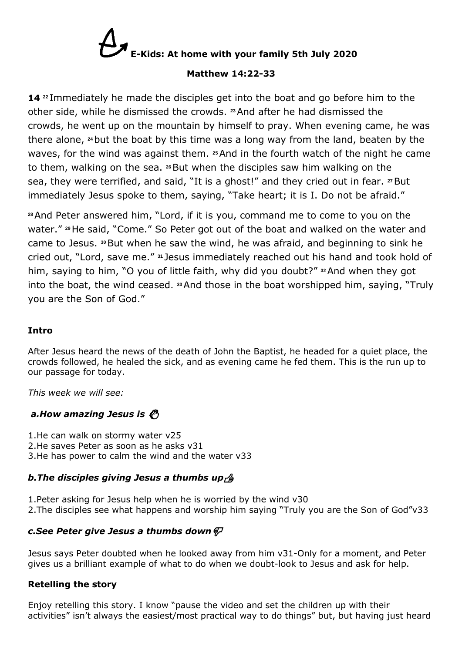

#### **Matthew 14:22-33**

**14 <sup>22</sup>** Immediately he made the disciples get into the boat and go before him to the other side, while he dismissed the crowds. **<sup>23</sup>**And after he had dismissed the crowds, he went up on the mountain by himself to pray. When evening came, he was there alone, **<sup>24</sup>**but the boat by this time was a long way from the land, beaten by the waves, for the wind was against them. **<sup>25</sup>**And in the fourth watch of the night he came to them, walking on the sea. **<sup>26</sup>**But when the disciples saw him walking on the sea, they were terrified, and said, "It is a ghost!" and they cried out in fear. **<sup>27</sup>**But immediately Jesus spoke to them, saying, "Take heart; it is I. Do not be afraid."

**<sup>28</sup>**And Peter answered him, "Lord, if it is you, command me to come to you on the water." **<sup>29</sup>**He said, "Come." So Peter got out of the boat and walked on the water and came to Jesus. **<sup>30</sup>**But when he saw the wind, he was afraid, and beginning to sink he cried out, "Lord, save me." **<sup>31</sup>** Jesus immediately reached out his hand and took hold of him, saying to him, "O you of little faith, why did you doubt?" **<sup>32</sup>**And when they got into the boat, the wind ceased. **<sup>33</sup>**And those in the boat worshipped him, saying, "Truly you are the Son of God."

#### **Intro**

After Jesus heard the news of the death of John the Baptist, he headed for a quiet place, the crowds followed, he healed the sick, and as evening came he fed them. This is the run up to our passage for today.

*This week we will see:*

#### *a.How amazing Jesus is*

1.He can walk on stormy water v25 2.He saves Peter as soon as he asks v31 3.He has power to calm the wind and the water v33

#### *b.The disciples giving Jesus a thumbs up*

1.Peter asking for Jesus help when he is worried by the wind v30 2.The disciples see what happens and worship him saying "Truly you are the Son of God"v33

#### *c.See Peter give Jesus a thumbs down*

Jesus says Peter doubted when he looked away from him v31-Only for a moment, and Peter gives us a brilliant example of what to do when we doubt-look to Jesus and ask for help.

#### **Retelling the story**

Enjoy retelling this story. I know "pause the video and set the children up with their activities" isn't always the easiest/most practical way to do things" but, but having just heard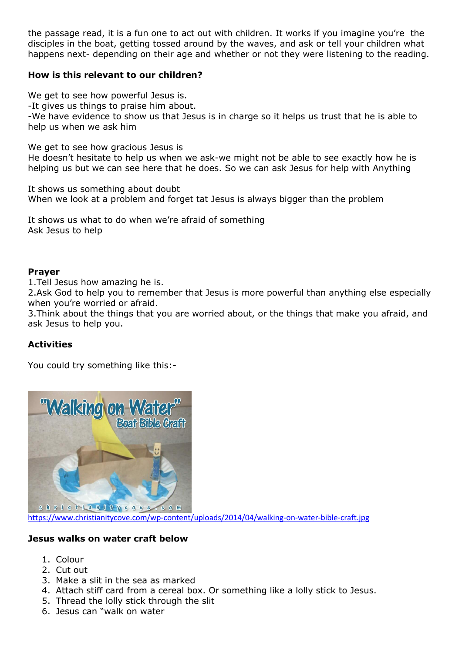the passage read, it is a fun one to act out with children. It works if you imagine you're the disciples in the boat, getting tossed around by the waves, and ask or tell your children what happens next- depending on their age and whether or not they were listening to the reading.

#### **How is this relevant to our children?**

We get to see how powerful Jesus is.

-It gives us things to praise him about.

-We have evidence to show us that Jesus is in charge so it helps us trust that he is able to help us when we ask him

We get to see how gracious Jesus is

He doesn't hesitate to help us when we ask-we might not be able to see exactly how he is helping us but we can see here that he does. So we can ask Jesus for help with Anything

It shows us something about doubt When we look at a problem and forget tat Jesus is always bigger than the problem

It shows us what to do when we're afraid of something Ask Jesus to help

#### **Prayer**

1.Tell Jesus how amazing he is.

2.Ask God to help you to remember that Jesus is more powerful than anything else especially when you're worried or afraid.

3.Think about the things that you are worried about, or the things that make you afraid, and ask Jesus to help you.

#### **Activities**

You could try something like this:-



<https://www.christianitycove.com/wp-content/uploads/2014/04/walking-on-water-bible-craft.jpg>

#### **Jesus walks on water craft below**

- 1. Colour
- 2. Cut out
- 3. Make a slit in the sea as marked
- 4. Attach stiff card from a cereal box. Or something like a lolly stick to Jesus.
- 5. Thread the lolly stick through the slit
- 6. Jesus can "walk on water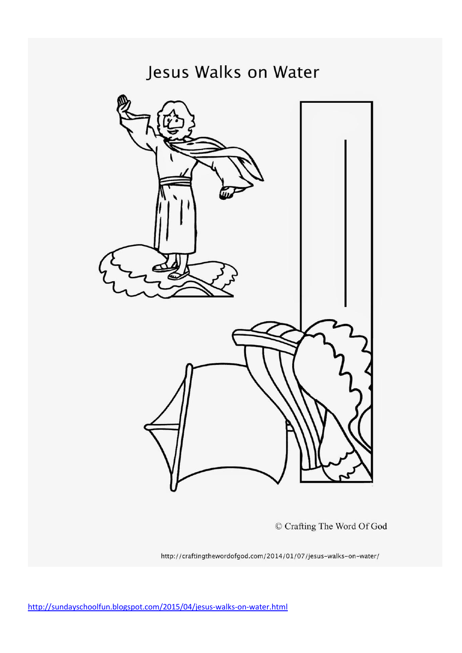## Jesus Walks on Water



© Crafting The Word Of God

http://craftingthewordofgod.com/2014/01/07/jesus-walks-on-water/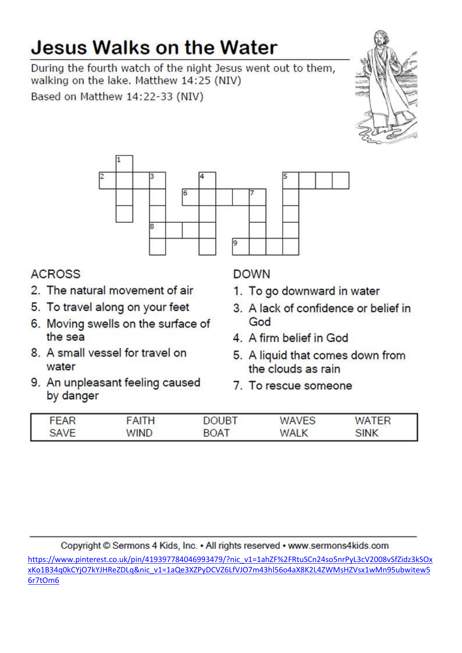# **Jesus Walks on the Water**

During the fourth watch of the night Jesus went out to them, walking on the lake. Matthew 14:25 (NIV)

Based on Matthew 14:22-33 (NIV)





### **ACROSS**

- 2. The natural movement of air
- 5. To travel along on your feet
- 6. Moving swells on the surface of the sea
- 8. A small vessel for travel on water
- 9. An unpleasant feeling caused by danger

## **DOWN**

- 1. To go downward in water
- 3. A lack of confidence or belief in God
- 4. A firm belief in God
- 5. A liquid that comes down from the clouds as rain
- 7. To rescue someone

| FEAR | FAITH       | DOUBT       | <b>WAVES</b> | WATER       |  |
|------|-------------|-------------|--------------|-------------|--|
| SAVE | <b>WIND</b> | <b>BOAT</b> | <b>WALK</b>  | <b>SINK</b> |  |

Copyright © Sermons 4 Kids, Inc. • All rights reserved • www.sermons4kids.com

https://www.pinterest.co.uk/pin/419397784046993479/?nic\_v1=1ahZF%2FRtuSCn24so5nrPyL3cV2008vSfZidz3kSOx xKo1B34q0kCYjO7kYJHReZDLq&nic v1=1aQe3XZPyDCVZ6LfVJO7m43hl56o4aX8K2L4ZWMsHZVsx1wMn95ubwitew5 6r7tOm6